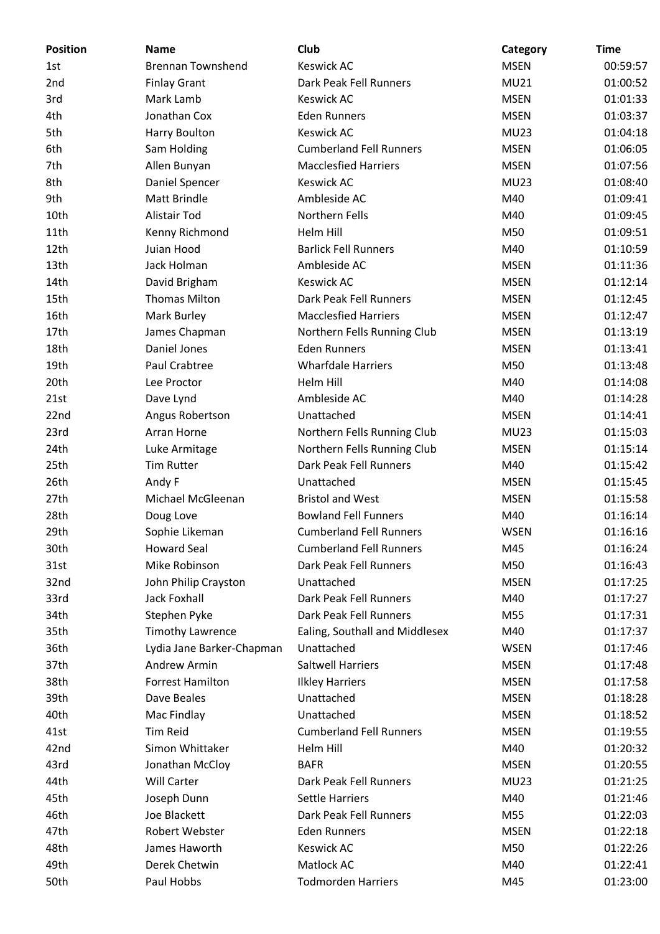| <b>Position</b> | <b>Name</b>               | Club                           | Category    | <b>Time</b> |
|-----------------|---------------------------|--------------------------------|-------------|-------------|
| 1st             | <b>Brennan Townshend</b>  | <b>Keswick AC</b>              | <b>MSEN</b> | 00:59:57    |
| 2nd             | <b>Finlay Grant</b>       | Dark Peak Fell Runners         | <b>MU21</b> | 01:00:52    |
| 3rd             | Mark Lamb                 | <b>Keswick AC</b>              | <b>MSEN</b> | 01:01:33    |
| 4th             | Jonathan Cox              | <b>Eden Runners</b>            | <b>MSEN</b> | 01:03:37    |
| 5th             | Harry Boulton             | <b>Keswick AC</b>              | <b>MU23</b> | 01:04:18    |
| 6th             | Sam Holding               | <b>Cumberland Fell Runners</b> | <b>MSEN</b> | 01:06:05    |
| 7th             | Allen Bunyan              | <b>Macclesfied Harriers</b>    | <b>MSEN</b> | 01:07:56    |
| 8th             | Daniel Spencer            | <b>Keswick AC</b>              | <b>MU23</b> | 01:08:40    |
| 9th             | <b>Matt Brindle</b>       | Ambleside AC                   | M40         | 01:09:41    |
| 10th            | <b>Alistair Tod</b>       | Northern Fells                 | M40         | 01:09:45    |
| 11th            | Kenny Richmond            | Helm Hill                      | M50         | 01:09:51    |
| 12th            | Juian Hood                | <b>Barlick Fell Runners</b>    | M40         | 01:10:59    |
| 13th            | Jack Holman               | Ambleside AC                   | <b>MSEN</b> | 01:11:36    |
| 14th            | David Brigham             | <b>Keswick AC</b>              | <b>MSEN</b> | 01:12:14    |
| 15th            | <b>Thomas Milton</b>      | Dark Peak Fell Runners         | <b>MSEN</b> | 01:12:45    |
| 16th            | Mark Burley               | <b>Macclesfied Harriers</b>    | <b>MSEN</b> | 01:12:47    |
| 17th            | James Chapman             | Northern Fells Running Club    | <b>MSEN</b> | 01:13:19    |
| 18th            | Daniel Jones              | <b>Eden Runners</b>            | <b>MSEN</b> | 01:13:41    |
| 19th            | Paul Crabtree             | <b>Wharfdale Harriers</b>      | M50         | 01:13:48    |
| 20th            | Lee Proctor               | Helm Hill                      | M40         | 01:14:08    |
| 21st            | Dave Lynd                 | Ambleside AC                   | M40         | 01:14:28    |
| 22nd            | Angus Robertson           | Unattached                     | <b>MSEN</b> | 01:14:41    |
| 23rd            | Arran Horne               | Northern Fells Running Club    | <b>MU23</b> | 01:15:03    |
| 24th            | Luke Armitage             | Northern Fells Running Club    | <b>MSEN</b> | 01:15:14    |
| 25th            | <b>Tim Rutter</b>         | Dark Peak Fell Runners         | M40         | 01:15:42    |
| 26th            | Andy F                    | Unattached                     | <b>MSEN</b> | 01:15:45    |
| 27th            | Michael McGleenan         | <b>Bristol and West</b>        | <b>MSEN</b> | 01:15:58    |
| 28th            | Doug Love                 | <b>Bowland Fell Funners</b>    | M40         | 01:16:14    |
| 29th            | Sophie Likeman            | <b>Cumberland Fell Runners</b> | <b>WSEN</b> | 01:16:16    |
| 30th            | <b>Howard Seal</b>        | <b>Cumberland Fell Runners</b> | M45         | 01:16:24    |
| 31st            | Mike Robinson             | Dark Peak Fell Runners         | M50         | 01:16:43    |
| 32nd            | John Philip Crayston      | Unattached                     | <b>MSEN</b> | 01:17:25    |
| 33rd            | <b>Jack Foxhall</b>       | Dark Peak Fell Runners         | M40         | 01:17:27    |
| 34th            | Stephen Pyke              | Dark Peak Fell Runners         | M55         | 01:17:31    |
| 35th            | <b>Timothy Lawrence</b>   | Ealing, Southall and Middlesex | M40         | 01:17:37    |
| 36th            | Lydia Jane Barker-Chapman | Unattached                     | <b>WSEN</b> | 01:17:46    |
| 37th            | <b>Andrew Armin</b>       | <b>Saltwell Harriers</b>       | <b>MSEN</b> | 01:17:48    |
|                 | <b>Forrest Hamilton</b>   |                                |             |             |
| 38th            |                           | <b>Ilkley Harriers</b>         | <b>MSEN</b> | 01:17:58    |
| 39th            | Dave Beales               | Unattached                     | <b>MSEN</b> | 01:18:28    |
| 40th            | Mac Findlay               | Unattached                     | <b>MSEN</b> | 01:18:52    |
| 41st            | <b>Tim Reid</b>           | <b>Cumberland Fell Runners</b> | <b>MSEN</b> | 01:19:55    |
| 42nd            | Simon Whittaker           | Helm Hill                      | M40         | 01:20:32    |
| 43rd            | Jonathan McCloy           | <b>BAFR</b>                    | <b>MSEN</b> | 01:20:55    |
| 44th            | <b>Will Carter</b>        | Dark Peak Fell Runners         | <b>MU23</b> | 01:21:25    |
| 45th            | Joseph Dunn               | <b>Settle Harriers</b>         | M40         | 01:21:46    |
| 46th            | Joe Blackett              | Dark Peak Fell Runners         | M55         | 01:22:03    |
| 47th            | Robert Webster            | <b>Eden Runners</b>            | <b>MSEN</b> | 01:22:18    |
| 48th            | James Haworth             | Keswick AC                     | M50         | 01:22:26    |
| 49th            | Derek Chetwin             | Matlock AC                     | M40         | 01:22:41    |
| 50th            | Paul Hobbs                | <b>Todmorden Harriers</b>      | M45         | 01:23:00    |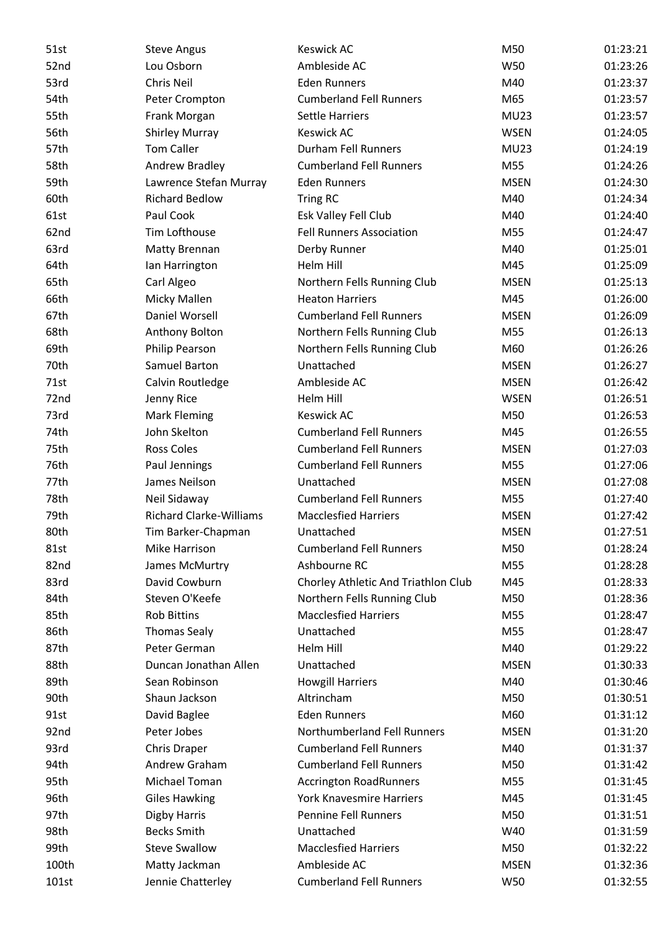| 51st  | <b>Steve Angus</b>             | <b>Keswick AC</b>                   | M50         | 01:23:21 |
|-------|--------------------------------|-------------------------------------|-------------|----------|
| 52nd  | Lou Osborn                     | Ambleside AC                        | W50         | 01:23:26 |
| 53rd  | Chris Neil                     | <b>Eden Runners</b>                 | M40         | 01:23:37 |
| 54th  | Peter Crompton                 | <b>Cumberland Fell Runners</b>      | M65         | 01:23:57 |
| 55th  | Frank Morgan                   | <b>Settle Harriers</b>              | <b>MU23</b> | 01:23:57 |
| 56th  | <b>Shirley Murray</b>          | <b>Keswick AC</b>                   | <b>WSEN</b> | 01:24:05 |
| 57th  | <b>Tom Caller</b>              | Durham Fell Runners                 | <b>MU23</b> | 01:24:19 |
| 58th  | Andrew Bradley                 | <b>Cumberland Fell Runners</b>      | M55         | 01:24:26 |
| 59th  | Lawrence Stefan Murray         | <b>Eden Runners</b>                 | <b>MSEN</b> | 01:24:30 |
| 60th  | <b>Richard Bedlow</b>          | Tring RC                            | M40         | 01:24:34 |
| 61st  | Paul Cook                      | Esk Valley Fell Club                | M40         | 01:24:40 |
| 62nd  | Tim Lofthouse                  | <b>Fell Runners Association</b>     | M55         | 01:24:47 |
| 63rd  | <b>Matty Brennan</b>           | Derby Runner                        | M40         | 01:25:01 |
| 64th  | Ian Harrington                 | <b>Helm Hill</b>                    | M45         | 01:25:09 |
| 65th  | Carl Algeo                     | Northern Fells Running Club         | <b>MSEN</b> | 01:25:13 |
| 66th  | Micky Mallen                   | <b>Heaton Harriers</b>              | M45         | 01:26:00 |
| 67th  | Daniel Worsell                 | <b>Cumberland Fell Runners</b>      | <b>MSEN</b> | 01:26:09 |
| 68th  | Anthony Bolton                 | Northern Fells Running Club         | M55         | 01:26:13 |
| 69th  | <b>Philip Pearson</b>          | Northern Fells Running Club         | M60         | 01:26:26 |
| 70th  | Samuel Barton                  | Unattached                          | <b>MSEN</b> | 01:26:27 |
| 71st  | Calvin Routledge               | Ambleside AC                        | <b>MSEN</b> | 01:26:42 |
| 72nd  | Jenny Rice                     | Helm Hill                           | <b>WSEN</b> | 01:26:51 |
| 73rd  | <b>Mark Fleming</b>            | <b>Keswick AC</b>                   | M50         | 01:26:53 |
| 74th  | John Skelton                   | <b>Cumberland Fell Runners</b>      | M45         | 01:26:55 |
| 75th  | <b>Ross Coles</b>              | <b>Cumberland Fell Runners</b>      | <b>MSEN</b> | 01:27:03 |
| 76th  | Paul Jennings                  | <b>Cumberland Fell Runners</b>      | M55         | 01:27:06 |
| 77th  | James Neilson                  | Unattached                          | <b>MSEN</b> | 01:27:08 |
| 78th  | Neil Sidaway                   | <b>Cumberland Fell Runners</b>      | M55         | 01:27:40 |
| 79th  | <b>Richard Clarke-Williams</b> | <b>Macclesfied Harriers</b>         | <b>MSEN</b> | 01:27:42 |
| 80th  | Tim Barker-Chapman             | Unattached                          | <b>MSEN</b> | 01:27:51 |
| 81st  | Mike Harrison                  | <b>Cumberland Fell Runners</b>      | M50         | 01:28:24 |
| 82nd  | James McMurtry                 | Ashbourne RC                        | M55         | 01:28:28 |
| 83rd  | David Cowburn                  | Chorley Athletic And Triathlon Club | M45         | 01:28:33 |
| 84th  | Steven O'Keefe                 | Northern Fells Running Club         | M50         | 01:28:36 |
| 85th  | <b>Rob Bittins</b>             | <b>Macclesfied Harriers</b>         | M55         | 01:28:47 |
| 86th  | <b>Thomas Sealy</b>            | Unattached                          | M55         | 01:28:47 |
| 87th  | Peter German                   | Helm Hill                           | M40         | 01:29:22 |
| 88th  | Duncan Jonathan Allen          | Unattached                          | <b>MSEN</b> | 01:30:33 |
| 89th  | Sean Robinson                  | <b>Howgill Harriers</b>             | M40         | 01:30:46 |
| 90th  | Shaun Jackson                  | Altrincham                          | M50         | 01:30:51 |
| 91st  | David Baglee                   | <b>Eden Runners</b>                 | M60         | 01:31:12 |
| 92nd  | Peter Jobes                    | Northumberland Fell Runners         | <b>MSEN</b> | 01:31:20 |
| 93rd  | Chris Draper                   | <b>Cumberland Fell Runners</b>      | M40         | 01:31:37 |
| 94th  | Andrew Graham                  | <b>Cumberland Fell Runners</b>      | M50         | 01:31:42 |
| 95th  | Michael Toman                  | <b>Accrington RoadRunners</b>       | M55         | 01:31:45 |
| 96th  | <b>Giles Hawking</b>           | <b>York Knavesmire Harriers</b>     | M45         | 01:31:45 |
| 97th  | <b>Digby Harris</b>            | <b>Pennine Fell Runners</b>         | M50         | 01:31:51 |
| 98th  | <b>Becks Smith</b>             | Unattached                          | W40         | 01:31:59 |
| 99th  | <b>Steve Swallow</b>           | <b>Macclesfied Harriers</b>         | M50         | 01:32:22 |
| 100th | Matty Jackman                  | Ambleside AC                        | <b>MSEN</b> | 01:32:36 |
| 101st | Jennie Chatterley              | <b>Cumberland Fell Runners</b>      | W50         | 01:32:55 |
|       |                                |                                     |             |          |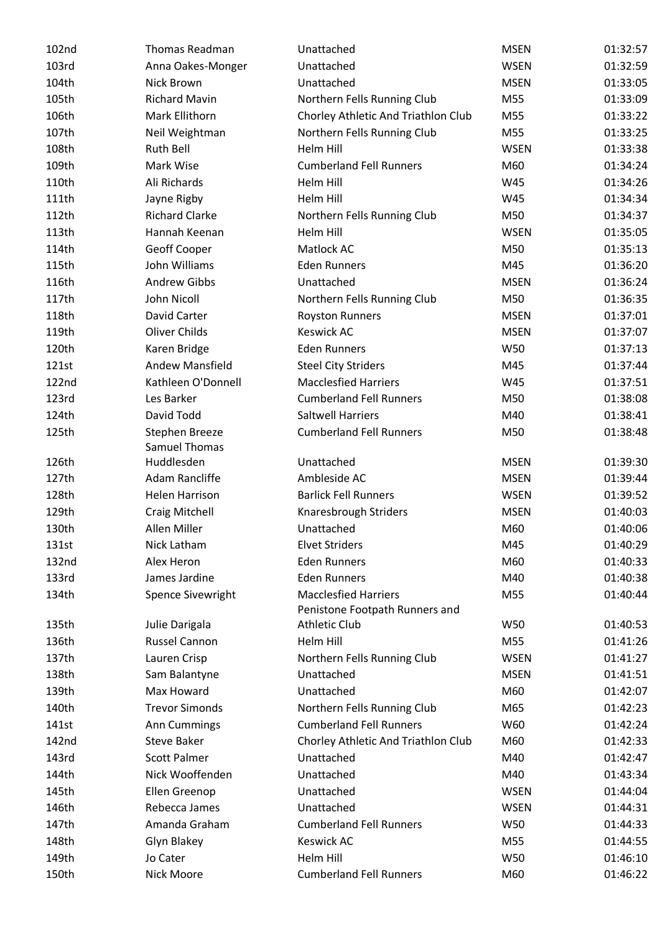| 102nd | Thomas Readman         | Unattached                          | <b>MSEN</b> | 01:32:57 |
|-------|------------------------|-------------------------------------|-------------|----------|
| 103rd | Anna Oakes-Monger      | Unattached                          | <b>WSEN</b> | 01:32:59 |
| 104th | Nick Brown             | Unattached                          | <b>MSEN</b> | 01:33:05 |
| 105th | <b>Richard Mavin</b>   | Northern Fells Running Club         | M55         | 01:33:09 |
| 106th | Mark Ellithorn         | Chorley Athletic And Triathlon Club | M55         | 01:33:22 |
| 107th | Neil Weightman         | Northern Fells Running Club         | M55         | 01:33:25 |
| 108th | <b>Ruth Bell</b>       | Helm Hill                           | <b>WSEN</b> | 01:33:38 |
| 109th | Mark Wise              | <b>Cumberland Fell Runners</b>      | M60         | 01:34:24 |
| 110th | Ali Richards           | Helm Hill                           | W45         | 01:34:26 |
| 111th | Jayne Rigby            | Helm Hill                           | W45         | 01:34:34 |
| 112th | <b>Richard Clarke</b>  | Northern Fells Running Club         | M50         | 01:34:37 |
| 113th | Hannah Keenan          | Helm Hill                           | <b>WSEN</b> | 01:35:05 |
| 114th | Geoff Cooper           | Matlock AC                          | M50         | 01:35:13 |
| 115th | John Williams          | <b>Eden Runners</b>                 | M45         | 01:36:20 |
| 116th | <b>Andrew Gibbs</b>    | Unattached                          | <b>MSEN</b> | 01:36:24 |
| 117th | John Nicoll            | Northern Fells Running Club         | M50         | 01:36:35 |
| 118th | David Carter           | <b>Royston Runners</b>              | <b>MSEN</b> | 01:37:01 |
| 119th | Oliver Childs          | <b>Keswick AC</b>                   | <b>MSEN</b> | 01:37:07 |
| 120th | Karen Bridge           | <b>Eden Runners</b>                 | W50         | 01:37:13 |
| 121st | <b>Andew Mansfield</b> | <b>Steel City Striders</b>          | M45         | 01:37:44 |
| 122nd | Kathleen O'Donnell     | <b>Macclesfied Harriers</b>         | W45         | 01:37:51 |
| 123rd | Les Barker             | <b>Cumberland Fell Runners</b>      | M50         | 01:38:08 |
| 124th | David Todd             | <b>Saltwell Harriers</b>            | M40         | 01:38:41 |
| 125th | Stephen Breeze         | <b>Cumberland Fell Runners</b>      | M50         | 01:38:48 |
|       | <b>Samuel Thomas</b>   |                                     |             |          |
| 126th | Huddlesden             | Unattached                          | <b>MSEN</b> | 01:39:30 |
| 127th | Adam Rancliffe         | Ambleside AC                        | <b>MSEN</b> | 01:39:44 |
| 128th | Helen Harrison         | <b>Barlick Fell Runners</b>         | <b>WSEN</b> | 01:39:52 |
| 129th | <b>Craig Mitchell</b>  | Knaresbrough Striders               | <b>MSEN</b> | 01:40:03 |
| 130th | Allen Miller           | Unattached                          | M60         | 01:40:06 |
| 131st | Nick Latham            | <b>Elvet Striders</b>               | M45         | 01:40:29 |
| 132nd | Alex Heron             | <b>Eden Runners</b>                 | M60         | 01:40:33 |
| 133rd | James Jardine          | <b>Eden Runners</b>                 | M40         | 01:40:38 |
| 134th | Spence Sivewright      | <b>Macclesfied Harriers</b>         | M55         | 01:40:44 |
|       |                        | Penistone Footpath Runners and      |             |          |
| 135th | Julie Darigala         | <b>Athletic Club</b>                | W50         | 01:40:53 |
| 136th | <b>Russel Cannon</b>   | Helm Hill                           | M55         | 01:41:26 |
| 137th | Lauren Crisp           | Northern Fells Running Club         | <b>WSEN</b> | 01:41:27 |
| 138th | Sam Balantyne          | Unattached                          | <b>MSEN</b> | 01:41:51 |
| 139th | Max Howard             | Unattached                          | M60         | 01:42:07 |
| 140th | <b>Trevor Simonds</b>  | Northern Fells Running Club         | M65         | 01:42:23 |
| 141st | Ann Cummings           | <b>Cumberland Fell Runners</b>      | W60         | 01:42:24 |
| 142nd | <b>Steve Baker</b>     | Chorley Athletic And Triathlon Club | M60         | 01:42:33 |
| 143rd | <b>Scott Palmer</b>    | Unattached                          | M40         | 01:42:47 |
| 144th | Nick Wooffenden        | Unattached                          | M40         | 01:43:34 |
| 145th | Ellen Greenop          | Unattached                          | <b>WSEN</b> | 01:44:04 |
| 146th | Rebecca James          | Unattached                          | <b>WSEN</b> | 01:44:31 |
| 147th | Amanda Graham          | <b>Cumberland Fell Runners</b>      | W50         | 01:44:33 |
| 148th | Glyn Blakey            | <b>Keswick AC</b>                   | M55         | 01:44:55 |
| 149th | Jo Cater               | Helm Hill                           | W50         | 01:46:10 |
| 150th | Nick Moore             | <b>Cumberland Fell Runners</b>      | M60         | 01:46:22 |